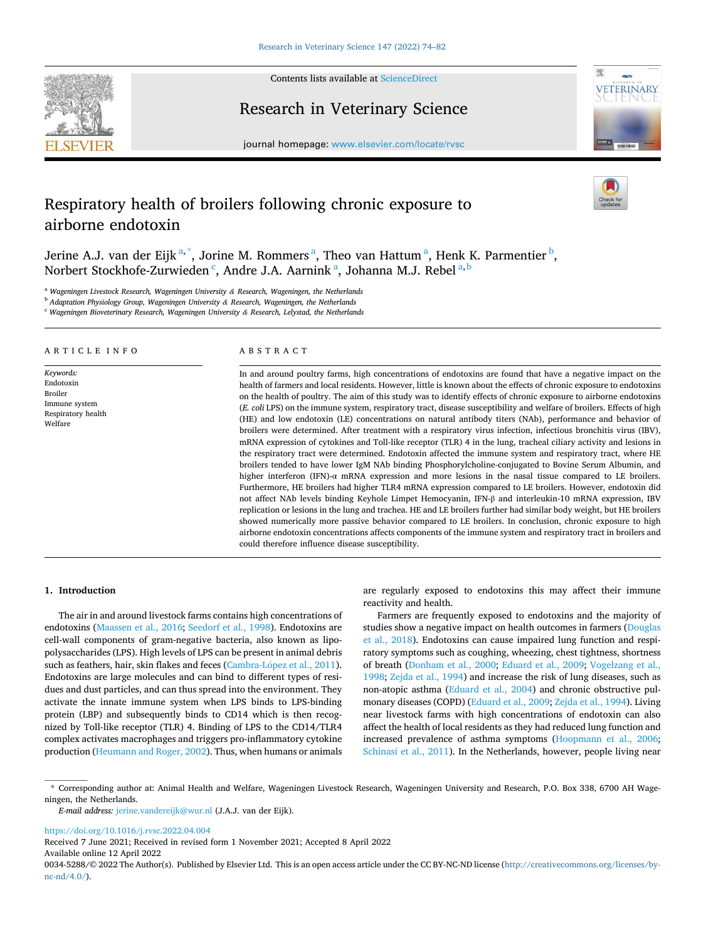

Contents lists available at [ScienceDirect](www.sciencedirect.com/science/journal/00345288)

Research in Veterinary Science



journal homepage: [www.elsevier.com/locate/rvsc](https://www.elsevier.com/locate/rvsc)

# Respiratory health of broilers following chronic exposure to airborne endotoxin

Jerine A.J. van der Eijk<sup>a,\*</sup>, Jorine M. Rommers<sup>a</sup>, Theo van Hattum<sup>a</sup>, Henk K. Parmentier<sup>b</sup>, Norbert Stockhofe-Zurwieden <sup>c</sup>, Andre J.A. Aarnink <sup>a</sup>, Johanna M.J. Rebel <sup>a, b</sup>

<sup>a</sup> *Wageningen Livestock Research, Wageningen University & Research, Wageningen, the Netherlands* 

<sup>b</sup> *Adaptation Physiology Group, Wageningen University & Research, Wageningen, the Netherlands* 

<sup>c</sup> *Wageningen Bioveterinary Research, Wageningen University & Research, Lelystad, the Netherlands* 

#### ARTICLE INFO

*Keywords:*  Endotoxin Broiler Immune system Respiratory health Welfare

# ABSTRACT

In and around poultry farms, high concentrations of endotoxins are found that have a negative impact on the health of farmers and local residents. However, little is known about the effects of chronic exposure to endotoxins on the health of poultry. The aim of this study was to identify effects of chronic exposure to airborne endotoxins (*E. coli* LPS) on the immune system, respiratory tract, disease susceptibility and welfare of broilers. Effects of high (HE) and low endotoxin (LE) concentrations on natural antibody titers (NAb), performance and behavior of broilers were determined. After treatment with a respiratory virus infection, infectious bronchitis virus (IBV), mRNA expression of cytokines and Toll-like receptor (TLR) 4 in the lung, tracheal ciliary activity and lesions in the respiratory tract were determined. Endotoxin affected the immune system and respiratory tract, where HE broilers tended to have lower IgM NAb binding Phosphorylcholine-conjugated to Bovine Serum Albumin, and higher interferon (IFN)-α mRNA expression and more lesions in the nasal tissue compared to LE broilers. Furthermore, HE broilers had higher TLR4 mRNA expression compared to LE broilers. However, endotoxin did not affect NAb levels binding Keyhole Limpet Hemocyanin, IFN-β and interleukin-10 mRNA expression, IBV replication or lesions in the lung and trachea. HE and LE broilers further had similar body weight, but HE broilers showed numerically more passive behavior compared to LE broilers. In conclusion, chronic exposure to high airborne endotoxin concentrations affects components of the immune system and respiratory tract in broilers and could therefore influence disease susceptibility.

## **1. Introduction**

The air in and around livestock farms contains high concentrations of endotoxins ([Maassen et al., 2016](#page-7-0); [Seedorf et al., 1998](#page-7-0)). Endotoxins are cell-wall components of gram-negative bacteria, also known as lipopolysaccharides (LPS). High levels of LPS can be present in animal debris such as feathers, hair, skin flakes and feces (Cambra-López et al., 2011). Endotoxins are large molecules and can bind to different types of residues and dust particles, and can thus spread into the environment. They activate the innate immune system when LPS binds to LPS-binding protein (LBP) and subsequently binds to CD14 which is then recognized by Toll-like receptor (TLR) 4. Binding of LPS to the CD14/TLR4 complex activates macrophages and triggers pro-inflammatory cytokine production ([Heumann and Roger, 2002](#page-7-0)). Thus, when humans or animals are regularly exposed to endotoxins this may affect their immune reactivity and health.

Farmers are frequently exposed to endotoxins and the majority of studies show a negative impact on health outcomes in farmers [\(Douglas](#page-7-0)  [et al., 2018](#page-7-0)). Endotoxins can cause impaired lung function and respiratory symptoms such as coughing, wheezing, chest tightness, shortness of breath ([Donham et al., 2000;](#page-7-0) [Eduard et al., 2009;](#page-7-0) [Vogelzang et al.,](#page-8-0)  [1998; Zejda et al., 1994](#page-8-0)) and increase the risk of lung diseases, such as non-atopic asthma ([Eduard et al., 2004](#page-7-0)) and chronic obstructive pulmonary diseases (COPD) ([Eduard et al., 2009](#page-7-0); [Zejda et al., 1994\)](#page-8-0). Living near livestock farms with high concentrations of endotoxin can also affect the health of local residents as they had reduced lung function and increased prevalence of asthma symptoms [\(Hoopmann et al., 2006](#page-7-0); [Schinasi et al., 2011](#page-7-0)). In the Netherlands, however, people living near

\* Corresponding author at: Animal Health and Welfare, Wageningen Livestock Research, Wageningen University and Research, P.O. Box 338, 6700 AH Wageningen, the Netherlands.

*E-mail address:* [jerine.vandereijk@wur.nl](mailto:jerine.vandereijk@wur.nl) (J.A.J. van der Eijk).

<https://doi.org/10.1016/j.rvsc.2022.04.004>

Available online 12 April 2022 Received 7 June 2021; Received in revised form 1 November 2021; Accepted 8 April 2022

0034-5288/© 2022 The Author(s). Published by Elsevier Ltd. This is an open access article under the CC BY-NC-ND license([http://creativecommons.org/licenses/by](http://creativecommons.org/licenses/by-nc-nd/4.0/)[nc-nd/4.0/](http://creativecommons.org/licenses/by-nc-nd/4.0/)).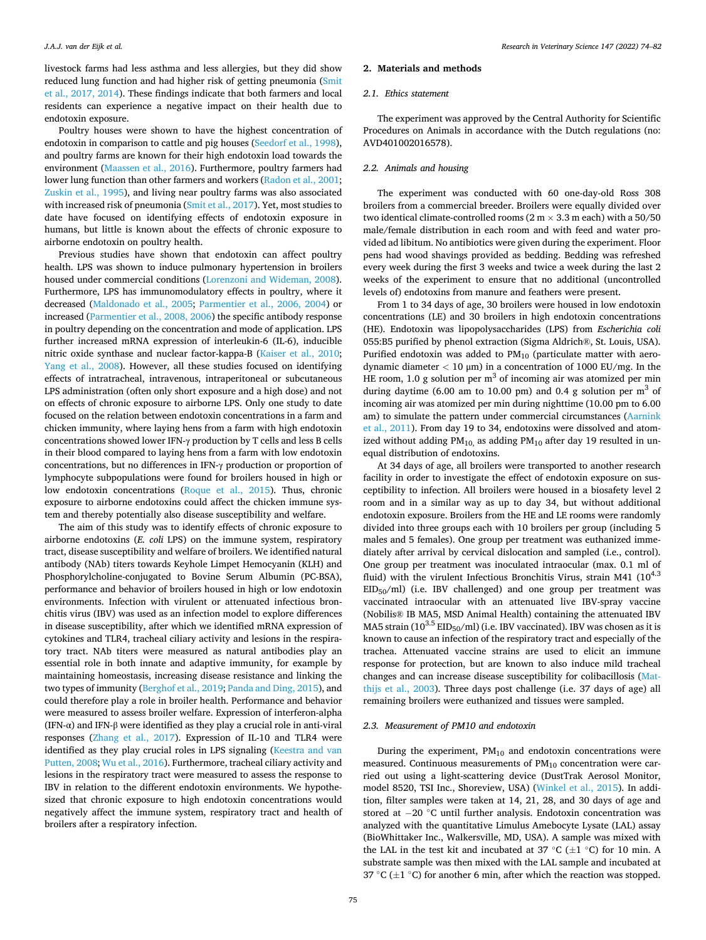livestock farms had less asthma and less allergies, but they did show reduced lung function and had higher risk of getting pneumonia ([Smit](#page-8-0)  [et al., 2017, 2014](#page-8-0)). These findings indicate that both farmers and local residents can experience a negative impact on their health due to endotoxin exposure.

Poultry houses were shown to have the highest concentration of endotoxin in comparison to cattle and pig houses [\(Seedorf et al., 1998](#page-7-0)), and poultry farms are known for their high endotoxin load towards the environment [\(Maassen et al., 2016](#page-7-0)). Furthermore, poultry farmers had lower lung function than other farmers and workers ([Radon et al., 2001](#page-7-0); [Zuskin et al., 1995\)](#page-8-0), and living near poultry farms was also associated with increased risk of pneumonia ([Smit et al., 2017](#page-8-0)). Yet, most studies to date have focused on identifying effects of endotoxin exposure in humans, but little is known about the effects of chronic exposure to airborne endotoxin on poultry health.

Previous studies have shown that endotoxin can affect poultry health. LPS was shown to induce pulmonary hypertension in broilers housed under commercial conditions [\(Lorenzoni and Wideman, 2008](#page-7-0)). Furthermore, LPS has immunomodulatory effects in poultry, where it decreased [\(Maldonado et al., 2005;](#page-7-0) [Parmentier et al., 2006, 2004](#page-7-0)) or increased ([Parmentier et al., 2008, 2006](#page-7-0)) the specific antibody response in poultry depending on the concentration and mode of application. LPS further increased mRNA expression of interleukin-6 (IL-6), inducible nitric oxide synthase and nuclear factor-kappa-B ([Kaiser et al., 2010](#page-7-0); [Yang et al., 2008\)](#page-8-0). However, all these studies focused on identifying effects of intratracheal, intravenous, intraperitoneal or subcutaneous LPS administration (often only short exposure and a high dose) and not on effects of chronic exposure to airborne LPS. Only one study to date focused on the relation between endotoxin concentrations in a farm and chicken immunity, where laying hens from a farm with high endotoxin concentrations showed lower IFN-γ production by T cells and less B cells in their blood compared to laying hens from a farm with low endotoxin concentrations, but no differences in IFN-γ production or proportion of lymphocyte subpopulations were found for broilers housed in high or low endotoxin concentrations [\(Roque et al., 2015\)](#page-7-0). Thus, chronic exposure to airborne endotoxins could affect the chicken immune system and thereby potentially also disease susceptibility and welfare.

The aim of this study was to identify effects of chronic exposure to airborne endotoxins (*E. coli* LPS) on the immune system, respiratory tract, disease susceptibility and welfare of broilers. We identified natural antibody (NAb) titers towards Keyhole Limpet Hemocyanin (KLH) and Phosphorylcholine-conjugated to Bovine Serum Albumin (PC-BSA), performance and behavior of broilers housed in high or low endotoxin environments. Infection with virulent or attenuated infectious bronchitis virus (IBV) was used as an infection model to explore differences in disease susceptibility, after which we identified mRNA expression of cytokines and TLR4, tracheal ciliary activity and lesions in the respiratory tract. NAb titers were measured as natural antibodies play an essential role in both innate and adaptive immunity, for example by maintaining homeostasis, increasing disease resistance and linking the two types of immunity [\(Berghof et al., 2019](#page-7-0); [Panda and Ding, 2015\)](#page-7-0), and could therefore play a role in broiler health. Performance and behavior were measured to assess broiler welfare. Expression of interferon-alpha (IFN-α) and IFN-β were identified as they play a crucial role in anti-viral responses [\(Zhang et al., 2017\)](#page-8-0). Expression of IL-10 and TLR4 were identified as they play crucial roles in LPS signaling (Keestra and van [Putten, 2008](#page-7-0); [Wu et al., 2016](#page-8-0)). Furthermore, tracheal ciliary activity and lesions in the respiratory tract were measured to assess the response to IBV in relation to the different endotoxin environments. We hypothesized that chronic exposure to high endotoxin concentrations would negatively affect the immune system, respiratory tract and health of broilers after a respiratory infection.

## **2. Materials and methods**

## *2.1. Ethics statement*

The experiment was approved by the Central Authority for Scientific Procedures on Animals in accordance with the Dutch regulations (no: AVD401002016578).

## *2.2. Animals and housing*

The experiment was conducted with 60 one-day-old Ross 308 broilers from a commercial breeder. Broilers were equally divided over two identical climate-controlled rooms (2 m  $\times$  3.3 m each) with a 50/50 male/female distribution in each room and with feed and water provided ad libitum. No antibiotics were given during the experiment. Floor pens had wood shavings provided as bedding. Bedding was refreshed every week during the first 3 weeks and twice a week during the last 2 weeks of the experiment to ensure that no additional (uncontrolled levels of) endotoxins from manure and feathers were present.

From 1 to 34 days of age, 30 broilers were housed in low endotoxin concentrations (LE) and 30 broilers in high endotoxin concentrations (HE). Endotoxin was lipopolysaccharides (LPS) from *Escherichia coli*  055:B5 purified by phenol extraction (Sigma Aldrich®, St. Louis, USA). Purified endotoxin was added to  $PM_{10}$  (particulate matter with aerodynamic diameter *<* 10 μm) in a concentration of 1000 EU/mg. In the HE room, 1.0 g solution per  $m<sup>3</sup>$  of incoming air was atomized per min during daytime (6.00 am to 10.00 pm) and 0.4 g solution per  $m<sup>3</sup>$  of incoming air was atomized per min during nighttime (10.00 pm to 6.00 am) to simulate the pattern under commercial circumstances [\(Aarnink](#page-6-0)  [et al., 2011](#page-6-0)). From day 19 to 34, endotoxins were dissolved and atomized without adding  $PM_{10}$ , as adding  $PM_{10}$  after day 19 resulted in unequal distribution of endotoxins.

At 34 days of age, all broilers were transported to another research facility in order to investigate the effect of endotoxin exposure on susceptibility to infection. All broilers were housed in a biosafety level 2 room and in a similar way as up to day 34, but without additional endotoxin exposure. Broilers from the HE and LE rooms were randomly divided into three groups each with 10 broilers per group (including 5 males and 5 females). One group per treatment was euthanized immediately after arrival by cervical dislocation and sampled (i.e., control). One group per treatment was inoculated intraocular (max. 0.1 ml of fluid) with the virulent Infectious Bronchitis Virus, strain M41  $(10^{4.3})$  $EID_{50}/ml$ ) (i.e. IBV challenged) and one group per treatment was vaccinated intraocular with an attenuated live IBV-spray vaccine (Nobilis® IB MA5, MSD Animal Health) containing the attenuated IBV MA5 strain ( $10^{3.5}$  EID<sub>50</sub>/ml) (i.e. IBV vaccinated). IBV was chosen as it is known to cause an infection of the respiratory tract and especially of the trachea. Attenuated vaccine strains are used to elicit an immune response for protection, but are known to also induce mild tracheal changes and can increase disease susceptibility for colibacillosis [\(Mat](#page-7-0)[thijs et al., 2003\)](#page-7-0). Three days post challenge (i.e. 37 days of age) all remaining broilers were euthanized and tissues were sampled.

## *2.3. Measurement of PM10 and endotoxin*

During the experiment,  $PM_{10}$  and endotoxin concentrations were measured. Continuous measurements of  $PM_{10}$  concentration were carried out using a light-scattering device (DustTrak Aerosol Monitor, model 8520, TSI Inc., Shoreview, USA) ([Winkel et al., 2015\)](#page-8-0). In addition, filter samples were taken at 14, 21, 28, and 30 days of age and stored at − 20 ◦C until further analysis. Endotoxin concentration was analyzed with the quantitative Limulus Amebocyte Lysate (LAL) assay (BioWhittaker Inc., Walkersville, MD, USA). A sample was mixed with the LAL in the test kit and incubated at 37 °C ( $\pm$ 1 °C) for 10 min. A substrate sample was then mixed with the LAL sample and incubated at 37 °C ( $\pm$ 1 °C) for another 6 min, after which the reaction was stopped.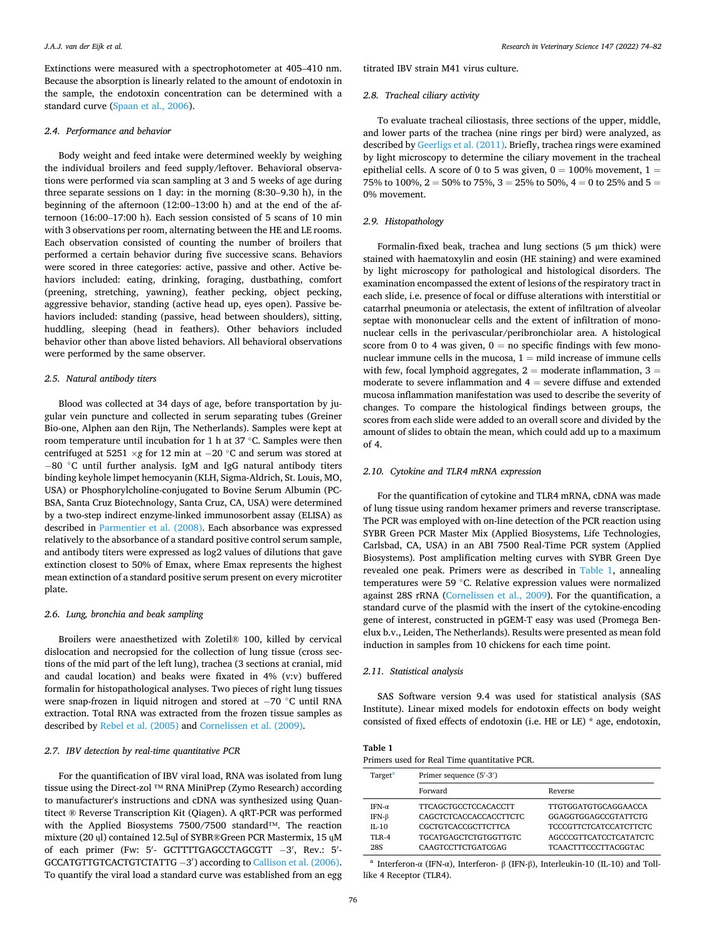Extinctions were measured with a spectrophotometer at 405–410 nm. Because the absorption is linearly related to the amount of endotoxin in the sample, the endotoxin concentration can be determined with a standard curve [\(Spaan et al., 2006](#page-8-0)).

## *2.4. Performance and behavior*

Body weight and feed intake were determined weekly by weighing the individual broilers and feed supply/leftover. Behavioral observations were performed via scan sampling at 3 and 5 weeks of age during three separate sessions on 1 day: in the morning (8:30–9.30 h), in the beginning of the afternoon (12:00–13:00 h) and at the end of the afternoon (16:00–17:00 h). Each session consisted of 5 scans of 10 min with 3 observations per room, alternating between the HE and LE rooms. Each observation consisted of counting the number of broilers that performed a certain behavior during five successive scans. Behaviors were scored in three categories: active, passive and other. Active behaviors included: eating, drinking, foraging, dustbathing, comfort (preening, stretching, yawning), feather pecking, object pecking, aggressive behavior, standing (active head up, eyes open). Passive behaviors included: standing (passive, head between shoulders), sitting, huddling, sleeping (head in feathers). Other behaviors included behavior other than above listed behaviors. All behavioral observations were performed by the same observer.

# *2.5. Natural antibody titers*

Blood was collected at 34 days of age, before transportation by jugular vein puncture and collected in serum separating tubes (Greiner Bio-one, Alphen aan den Rijn, The Netherlands). Samples were kept at room temperature until incubation for 1 h at 37 ◦C. Samples were then centrifuged at 5251 ×*g* for 12 min at − 20 ◦C and serum was stored at − 80 ◦C until further analysis. IgM and IgG natural antibody titers binding keyhole limpet hemocyanin (KLH, Sigma-Aldrich, St. Louis, MO, USA) or Phosphorylcholine-conjugated to Bovine Serum Albumin (PC-BSA, Santa Cruz Biotechnology, Santa Cruz, CA, USA) were determined by a two-step indirect enzyme-linked immunosorbent assay (ELISA) as described in [Parmentier et al. \(2008\).](#page-7-0) Each absorbance was expressed relatively to the absorbance of a standard positive control serum sample, and antibody titers were expressed as log2 values of dilutions that gave extinction closest to 50% of Emax, where Emax represents the highest mean extinction of a standard positive serum present on every microtiter plate.

# *2.6. Lung, bronchia and beak sampling*

Broilers were anaesthetized with Zoletil® 100, killed by cervical dislocation and necropsied for the collection of lung tissue (cross sections of the mid part of the left lung), trachea (3 sections at cranial, mid and caudal location) and beaks were fixated in 4% (v:v) buffered formalin for histopathological analyses. Two pieces of right lung tissues were snap-frozen in liquid nitrogen and stored at −70 °C until RNA extraction. Total RNA was extracted from the frozen tissue samples as described by [Rebel et al. \(2005\)](#page-7-0) and [Cornelissen et al. \(2009\).](#page-7-0)

## *2.7. IBV detection by real-time quantitative PCR*

For the quantification of IBV viral load, RNA was isolated from lung tissue using the Direct-zol ™ RNA MiniPrep (Zymo Research) according to manufacturer's instructions and cDNA was synthesized using Quantitect ® Reverse Transcription Kit (Qiagen). A qRT-PCR was performed with the Applied Biosystems 7500/7500 standard™. The reaction mixture (20 ųl) contained 12.5ųl of SYBR®Green PCR Mastermix, 15 ųM of each primer (Fw: 5'- GCTTTTGAGCCTAGCGTT -3', Rev.: 5'-GCCATGTTGTCACTGTCTATTG -3') according to [Callison et al. \(2006\)](#page-7-0). To quantify the viral load a standard curve was established from an egg

titrated IBV strain M41 virus culture.

## *2.8. Tracheal ciliary activity*

To evaluate tracheal ciliostasis, three sections of the upper, middle, and lower parts of the trachea (nine rings per bird) were analyzed, as described by [Geerligs et al. \(2011\).](#page-7-0) Briefly, trachea rings were examined by light microscopy to determine the ciliary movement in the tracheal epithelial cells. A score of 0 to 5 was given,  $0 = 100\%$  movement,  $1 =$ 75% to 100%,  $2 = 50$ % to 75%,  $3 = 25$ % to 50%,  $4 = 0$  to 25% and  $5 = 1$ 0% movement.

## *2.9. Histopathology*

Formalin-fixed beak, trachea and lung sections (5 μm thick) were stained with haematoxylin and eosin (HE staining) and were examined by light microscopy for pathological and histological disorders. The examination encompassed the extent of lesions of the respiratory tract in each slide, i.e. presence of focal or diffuse alterations with interstitial or catarrhal pneumonia or atelectasis, the extent of infiltration of alveolar septae with mononuclear cells and the extent of infiltration of mononuclear cells in the perivascular/peribronchiolar area. A histological score from 0 to 4 was given,  $0 =$  no specific findings with few mononuclear immune cells in the mucosa,  $1 =$  mild increase of immune cells with few, focal lymphoid aggregates,  $2 =$  moderate inflammation,  $3 =$ moderate to severe inflammation and  $4 =$  severe diffuse and extended mucosa inflammation manifestation was used to describe the severity of changes. To compare the histological findings between groups, the scores from each slide were added to an overall score and divided by the amount of slides to obtain the mean, which could add up to a maximum of 4.

## *2.10. Cytokine and TLR4 mRNA expression*

For the quantification of cytokine and TLR4 mRNA, cDNA was made of lung tissue using random hexamer primers and reverse transcriptase. The PCR was employed with on-line detection of the PCR reaction using SYBR Green PCR Master Mix (Applied Biosystems, Life Technologies, Carlsbad, CA, USA) in an ABI 7500 Real-Time PCR system (Applied Biosystems). Post amplification melting curves with SYBR Green Dye revealed one peak. Primers were as described in Table 1, annealing temperatures were 59 ◦C. Relative expression values were normalized against 28S rRNA [\(Cornelissen et al., 2009\)](#page-7-0). For the quantification, a standard curve of the plasmid with the insert of the cytokine-encoding gene of interest, constructed in pGEM-T easy was used (Promega Benelux b.v., Leiden, The Netherlands). Results were presented as mean fold induction in samples from 10 chickens for each time point.

## *2.11. Statistical analysis*

SAS Software version 9.4 was used for statistical analysis (SAS Institute). Linear mixed models for endotoxin effects on body weight consisted of fixed effects of endotoxin (i.e. HE or LE) \* age, endotoxin,

| Table 1                                     |  |  |  |  |
|---------------------------------------------|--|--|--|--|
| Primers used for Real Time quantitative PCR |  |  |  |  |

| Target <sup>a</sup> | Primer sequence (5'-3')     |                               |  |  |  |
|---------------------|-----------------------------|-------------------------------|--|--|--|
|                     | Forward                     | Reverse                       |  |  |  |
| IFN- $\alpha$       | <b>TTCAGCTGCCTCCACACCTT</b> | TTGTGGATGTGCAGGAACCA          |  |  |  |
| IFN-β               | CAGCTCTCACCACCACCTTCTC      | GGAGGTGGAGCCGTATTCTG          |  |  |  |
| $II - 10$           | <b>CGCTGTCACCGCTTCTTCA</b>  | <b>TCCCGTTCTCATCCATCTTCTC</b> |  |  |  |
| <b>TI.R-4</b>       | TGCATGAGCTCTGTGGTTGTC       | AGCCCGTTCATCCTCATATCTC        |  |  |  |
| 28S                 | CAAGTCCTTCTGATCGAG          | <b>TCAACTTTCCCTTACGGTAC</b>   |  |  |  |

<sup>a</sup> Interferon-α (IFN-α), Interferon- β (IFN-β), Interleukin-10 (IL-10) and Tolllike 4 Receptor (TLR4).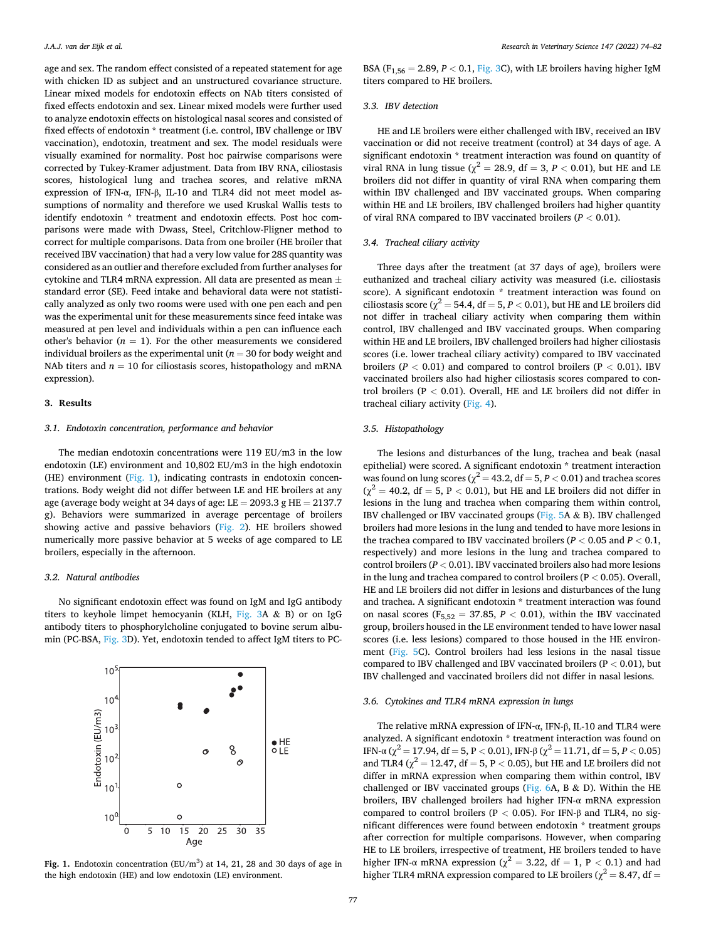age and sex. The random effect consisted of a repeated statement for age with chicken ID as subject and an unstructured covariance structure. Linear mixed models for endotoxin effects on NAb titers consisted of fixed effects endotoxin and sex. Linear mixed models were further used to analyze endotoxin effects on histological nasal scores and consisted of fixed effects of endotoxin \* treatment (i.e. control, IBV challenge or IBV vaccination), endotoxin, treatment and sex. The model residuals were visually examined for normality. Post hoc pairwise comparisons were corrected by Tukey-Kramer adjustment. Data from IBV RNA, ciliostasis scores, histological lung and trachea scores, and relative mRNA expression of IFN-α, IFN-β, IL-10 and TLR4 did not meet model assumptions of normality and therefore we used Kruskal Wallis tests to identify endotoxin \* treatment and endotoxin effects. Post hoc comparisons were made with Dwass, Steel, Critchlow-Fligner method to correct for multiple comparisons. Data from one broiler (HE broiler that received IBV vaccination) that had a very low value for 28S quantity was considered as an outlier and therefore excluded from further analyses for cytokine and TLR4 mRNA expression. All data are presented as mean  $\pm$ standard error (SE). Feed intake and behavioral data were not statistically analyzed as only two rooms were used with one pen each and pen was the experimental unit for these measurements since feed intake was measured at pen level and individuals within a pen can influence each other's behavior  $(n = 1)$ . For the other measurements we considered individual broilers as the experimental unit ( $n = 30$  for body weight and NAb titers and  $n = 10$  for ciliostasis scores, histopathology and mRNA expression).

#### **3. Results**

## *3.1. Endotoxin concentration, performance and behavior*

The median endotoxin concentrations were 119 EU/m3 in the low endotoxin (LE) environment and 10,802 EU/m3 in the high endotoxin (HE) environment (Fig. 1), indicating contrasts in endotoxin concentrations. Body weight did not differ between LE and HE broilers at any age (average body weight at 34 days of age: LE =  $2093.3$  g HE =  $2137.7$ g). Behaviors were summarized in average percentage of broilers showing active and passive behaviors ([Fig. 2\)](#page-4-0). HE broilers showed numerically more passive behavior at 5 weeks of age compared to LE broilers, especially in the afternoon.

## *3.2. Natural antibodies*

No significant endotoxin effect was found on IgM and IgG antibody titers to keyhole limpet hemocyanin (KLH, [Fig. 3](#page-4-0)A & B) or on IgG antibody titers to phosphorylcholine conjugated to bovine serum albumin (PC-BSA, [Fig. 3](#page-4-0)D). Yet, endotoxin tended to affect IgM titers to PC-



Fig. 1. Endotoxin concentration  $(EU/m^3)$  at 14, 21, 28 and 30 days of age in the high endotoxin (HE) and low endotoxin (LE) environment.

BSA ( $F_{1,56} = 2.89, P < 0.1,$  [Fig. 3C](#page-4-0)), with LE broilers having higher IgM titers compared to HE broilers.

## *3.3. IBV detection*

HE and LE broilers were either challenged with IBV, received an IBV vaccination or did not receive treatment (control) at 34 days of age. A significant endotoxin \* treatment interaction was found on quantity of viral RNA in lung tissue ( $\chi^2 = 28.9$ , df = 3, *P* < 0.01), but HE and LE broilers did not differ in quantity of viral RNA when comparing them within IBV challenged and IBV vaccinated groups. When comparing within HE and LE broilers, IBV challenged broilers had higher quantity of viral RNA compared to IBV vaccinated broilers (*P <* 0.01).

#### *3.4. Tracheal ciliary activity*

Three days after the treatment (at 37 days of age), broilers were euthanized and tracheal ciliary activity was measured (i.e. ciliostasis score). A significant endotoxin \* treatment interaction was found on ciliostasis score ( $\chi^2$  = 54.4, df = 5, *P* < 0.01), but HE and LE broilers did not differ in tracheal ciliary activity when comparing them within control, IBV challenged and IBV vaccinated groups. When comparing within HE and LE broilers, IBV challenged broilers had higher ciliostasis scores (i.e. lower tracheal ciliary activity) compared to IBV vaccinated broilers ( $P < 0.01$ ) and compared to control broilers ( $P < 0.01$ ). IBV vaccinated broilers also had higher ciliostasis scores compared to control broilers (P *<* 0.01). Overall, HE and LE broilers did not differ in tracheal ciliary activity [\(Fig. 4](#page-4-0)).

# *3.5. Histopathology*

The lesions and disturbances of the lung, trachea and beak (nasal epithelial) were scored. A significant endotoxin \* treatment interaction was found on lung scores ( $\chi^2$  = 43.2, df = 5, *P* < 0.01) and trachea scores  $(\chi^2 = 40.2, df = 5, P < 0.01)$ , but HE and LE broilers did not differ in lesions in the lung and trachea when comparing them within control, IBV challenged or IBV vaccinated groups [\(Fig. 5](#page-5-0)A  $\&$  B). IBV challenged broilers had more lesions in the lung and tended to have more lesions in the trachea compared to IBV vaccinated broilers ( $P < 0.05$  and  $P < 0.1$ , respectively) and more lesions in the lung and trachea compared to control broilers ( $P < 0.01$ ). IBV vaccinated broilers also had more lesions in the lung and trachea compared to control broilers (P *<* 0.05). Overall, HE and LE broilers did not differ in lesions and disturbances of the lung and trachea. A significant endotoxin \* treatment interaction was found on nasal scores ( $F_{5,52} = 37.85$ ,  $P < 0.01$ ), within the IBV vaccinated group, broilers housed in the LE environment tended to have lower nasal scores (i.e. less lesions) compared to those housed in the HE environment [\(Fig. 5C](#page-5-0)). Control broilers had less lesions in the nasal tissue compared to IBV challenged and IBV vaccinated broilers (P *<* 0.01), but IBV challenged and vaccinated broilers did not differ in nasal lesions.

## *3.6. Cytokines and TLR4 mRNA expression in lungs*

The relative mRNA expression of IFN-α, IFN-β, IL-10 and TLR4 were analyzed. A significant endotoxin \* treatment interaction was found on IFN-α ( $\chi^2$  = 17.94, df = 5, P < 0.01), IFN-β ( $\chi^2$  = 11.71, df = 5, P < 0.05) and TLR4 ( $\chi^2$  = 12.47, df = 5, P < 0.05), but HE and LE broilers did not differ in mRNA expression when comparing them within control, IBV challenged or IBV vaccinated groups (Fig.  $6A$ , B & D). Within the HE broilers, IBV challenged broilers had higher IFN-α mRNA expression compared to control broilers (P *<* 0.05). For IFN-β and TLR4, no significant differences were found between endotoxin \* treatment groups after correction for multiple comparisons. However, when comparing HE to LE broilers, irrespective of treatment, HE broilers tended to have higher IFN- $\alpha$  mRNA expression ( $\chi^2 = 3.22$ , df = 1, P < 0.1) and had higher TLR4 mRNA expression compared to LE broilers ( $\chi^2$  = 8.47, df =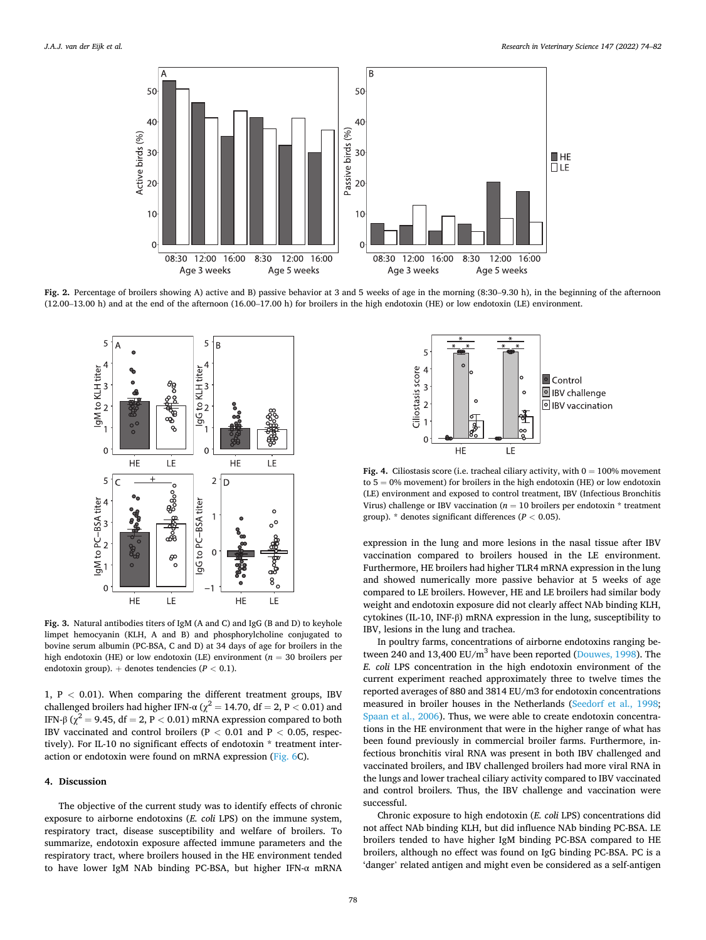<span id="page-4-0"></span>

Fig. 2. Percentage of broilers showing A) active and B) passive behavior at 3 and 5 weeks of age in the morning (8:30–9.30 h), in the beginning of the afternoon (12.00–13.00 h) and at the end of the afternoon (16.00–17.00 h) for broilers in the high endotoxin (HE) or low endotoxin (LE) environment.



**Fig. 3.** Natural antibodies titers of IgM (A and C) and IgG (B and D) to keyhole limpet hemocyanin (KLH, A and B) and phosphorylcholine conjugated to bovine serum albumin (PC-BSA, C and D) at 34 days of age for broilers in the high endotoxin (HE) or low endotoxin (LE) environment ( $n = 30$  broilers per endotoxin group). + denotes tendencies (*P <* 0.1).

1, P *<* 0.01). When comparing the different treatment groups, IBV challenged broilers had higher IFN-α ( $\chi^2$  = 14.70, df = 2, P < 0.01) and IFN-β ( $\chi^2$  = 9.45, df = 2, P < 0.01) mRNA expression compared to both IBV vaccinated and control broilers (P *<* 0.01 and P *<* 0.05, respectively). For IL-10 no significant effects of endotoxin \* treatment interaction or endotoxin were found on mRNA expression ([Fig. 6C](#page-5-0)).

# **4. Discussion**

The objective of the current study was to identify effects of chronic exposure to airborne endotoxins (*E. coli* LPS) on the immune system, respiratory tract, disease susceptibility and welfare of broilers. To summarize, endotoxin exposure affected immune parameters and the respiratory tract, where broilers housed in the HE environment tended to have lower IgM NAb binding PC-BSA, but higher IFN-α mRNA



**Fig. 4.** Ciliostasis score (i.e. tracheal ciliary activity, with  $0 = 100\%$  movement to  $5 = 0\%$  movement) for broilers in the high endotoxin (HE) or low endotoxin (LE) environment and exposed to control treatment, IBV (Infectious Bronchitis Virus) challenge or IBV vaccination ( $n = 10$  broilers per endotoxin  $*$  treatment group). \* denotes significant differences (*P <* 0.05).

expression in the lung and more lesions in the nasal tissue after IBV vaccination compared to broilers housed in the LE environment. Furthermore, HE broilers had higher TLR4 mRNA expression in the lung and showed numerically more passive behavior at 5 weeks of age compared to LE broilers. However, HE and LE broilers had similar body weight and endotoxin exposure did not clearly affect NAb binding KLH, cytokines (IL-10, INF-β) mRNA expression in the lung, susceptibility to IBV, lesions in the lung and trachea.

In poultry farms, concentrations of airborne endotoxins ranging be-tween 240 and 13,400 EU/m<sup>3</sup> have been reported ([Douwes, 1998](#page-7-0)). The *E. coli* LPS concentration in the high endotoxin environment of the current experiment reached approximately three to twelve times the reported averages of 880 and 3814 EU/m3 for endotoxin concentrations measured in broiler houses in the Netherlands [\(Seedorf et al., 1998](#page-7-0); [Spaan et al., 2006\)](#page-8-0). Thus, we were able to create endotoxin concentrations in the HE environment that were in the higher range of what has been found previously in commercial broiler farms. Furthermore, infectious bronchitis viral RNA was present in both IBV challenged and vaccinated broilers, and IBV challenged broilers had more viral RNA in the lungs and lower tracheal ciliary activity compared to IBV vaccinated and control broilers. Thus, the IBV challenge and vaccination were successful.

Chronic exposure to high endotoxin (*E. coli* LPS) concentrations did not affect NAb binding KLH, but did influence NAb binding PC-BSA. LE broilers tended to have higher IgM binding PC-BSA compared to HE broilers, although no effect was found on IgG binding PC-BSA. PC is a 'danger' related antigen and might even be considered as a self-antigen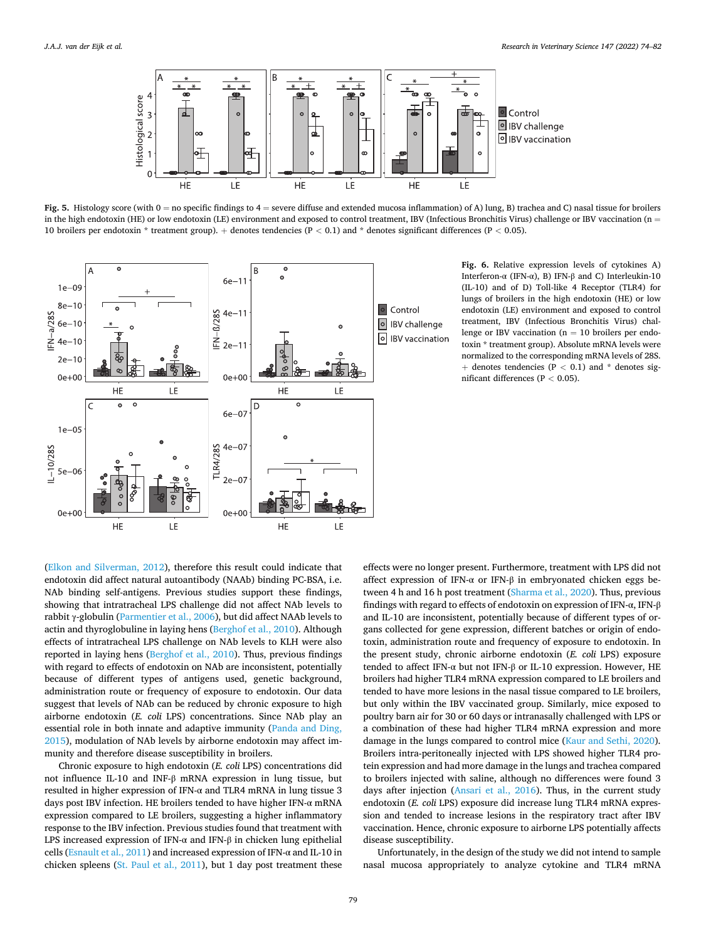<span id="page-5-0"></span>

**Fig. 5.** Histology score (with 0 = no specific findings to 4 = severe diffuse and extended mucosa inflammation) of A) lung, B) trachea and C) nasal tissue for broilers in the high endotoxin (HE) or low endotoxin (LE) environment and exposed to control treatment, IBV (Infectious Bronchitis Virus) challenge or IBV vaccination (n = 10 broilers per endotoxin \* treatment group). + denotes tendencies (P *<* 0.1) and \* denotes significant differences (P *<* 0.05).



**Fig. 6.** Relative expression levels of cytokines A) Interferon-α (IFN-α), B) IFN-β and C) Interleukin-10 (IL-10) and of D) Toll-like 4 Receptor (TLR4) for lungs of broilers in the high endotoxin (HE) or low endotoxin (LE) environment and exposed to control treatment, IBV (Infectious Bronchitis Virus) challenge or IBV vaccination ( $n = 10$  broilers per endotoxin \* treatment group). Absolute mRNA levels were normalized to the corresponding mRNA levels of 28S. + denotes tendencies (P *<* 0.1) and \* denotes significant differences (P *<* 0.05).

([Elkon and Silverman, 2012\)](#page-7-0), therefore this result could indicate that endotoxin did affect natural autoantibody (NAAb) binding PC-BSA, i.e. NAb binding self-antigens. Previous studies support these findings, showing that intratracheal LPS challenge did not affect NAb levels to rabbit γ-globulin [\(Parmentier et al., 2006](#page-7-0)), but did affect NAAb levels to actin and thyroglobuline in laying hens ([Berghof et al., 2010\)](#page-7-0). Although effects of intratracheal LPS challenge on NAb levels to KLH were also reported in laying hens [\(Berghof et al., 2010\)](#page-7-0). Thus, previous findings with regard to effects of endotoxin on NAb are inconsistent, potentially because of different types of antigens used, genetic background, administration route or frequency of exposure to endotoxin. Our data suggest that levels of NAb can be reduced by chronic exposure to high airborne endotoxin (*E. coli* LPS) concentrations. Since NAb play an essential role in both innate and adaptive immunity [\(Panda and Ding,](#page-7-0)  [2015\)](#page-7-0), modulation of NAb levels by airborne endotoxin may affect immunity and therefore disease susceptibility in broilers.

Chronic exposure to high endotoxin (*E. coli* LPS) concentrations did not influence IL-10 and INF-β mRNA expression in lung tissue, but resulted in higher expression of IFN- $\alpha$  and TLR4 mRNA in lung tissue 3 days post IBV infection. HE broilers tended to have higher IFN-α mRNA expression compared to LE broilers, suggesting a higher inflammatory response to the IBV infection. Previous studies found that treatment with LPS increased expression of IFN- $\alpha$  and IFN-β in chicken lung epithelial cells ([Esnault et al., 2011](#page-7-0)) and increased expression of IFN-α and IL-10 in chicken spleens ([St. Paul et al., 2011](#page-8-0)), but 1 day post treatment these

effects were no longer present. Furthermore, treatment with LPS did not affect expression of IFN- $\alpha$  or IFN-β in embryonated chicken eggs between 4 h and 16 h post treatment [\(Sharma et al., 2020](#page-7-0)). Thus, previous findings with regard to effects of endotoxin on expression of IFN-α, IFN-β and IL-10 are inconsistent, potentially because of different types of organs collected for gene expression, different batches or origin of endotoxin, administration route and frequency of exposure to endotoxin. In the present study, chronic airborne endotoxin (*E. coli* LPS) exposure tended to affect IFN-α but not IFN-β or IL-10 expression. However, HE broilers had higher TLR4 mRNA expression compared to LE broilers and tended to have more lesions in the nasal tissue compared to LE broilers, but only within the IBV vaccinated group. Similarly, mice exposed to poultry barn air for 30 or 60 days or intranasally challenged with LPS or a combination of these had higher TLR4 mRNA expression and more damage in the lungs compared to control mice [\(Kaur and Sethi, 2020](#page-7-0)). Broilers intra-peritoneally injected with LPS showed higher TLR4 protein expression and had more damage in the lungs and trachea compared to broilers injected with saline, although no differences were found 3 days after injection ([Ansari et al., 2016](#page-7-0)). Thus, in the current study endotoxin (*E. coli* LPS) exposure did increase lung TLR4 mRNA expression and tended to increase lesions in the respiratory tract after IBV vaccination. Hence, chronic exposure to airborne LPS potentially affects disease susceptibility.

Unfortunately, in the design of the study we did not intend to sample nasal mucosa appropriately to analyze cytokine and TLR4 mRNA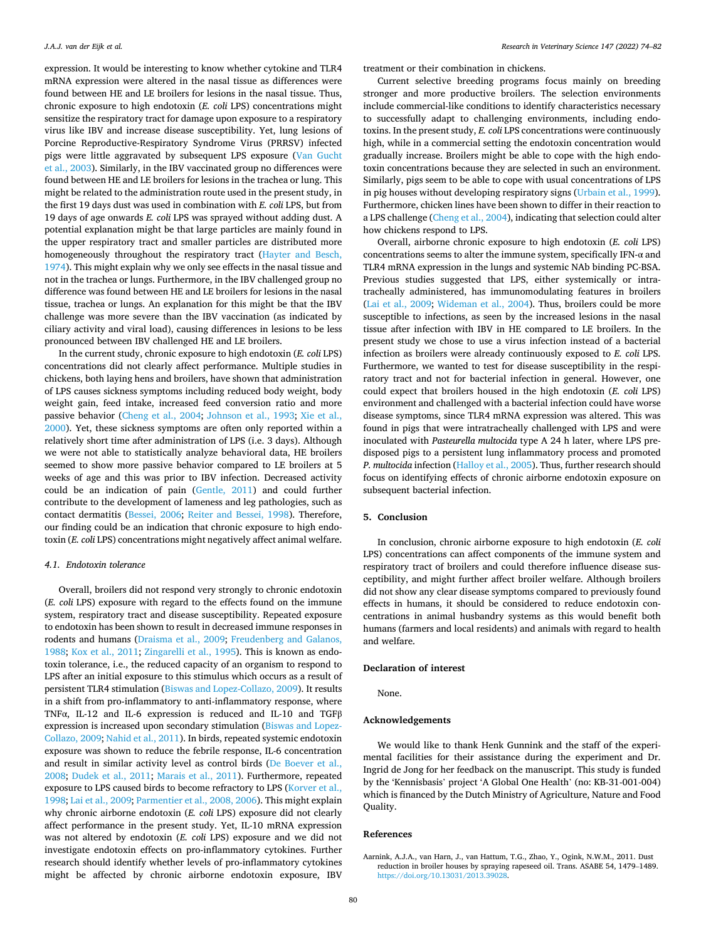<span id="page-6-0"></span>expression. It would be interesting to know whether cytokine and TLR4 mRNA expression were altered in the nasal tissue as differences were found between HE and LE broilers for lesions in the nasal tissue. Thus, chronic exposure to high endotoxin (*E. coli* LPS) concentrations might sensitize the respiratory tract for damage upon exposure to a respiratory virus like IBV and increase disease susceptibility. Yet, lung lesions of Porcine Reproductive-Respiratory Syndrome Virus (PRRSV) infected pigs were little aggravated by subsequent LPS exposure ([Van Gucht](#page-8-0)  [et al., 2003](#page-8-0)). Similarly, in the IBV vaccinated group no differences were found between HE and LE broilers for lesions in the trachea or lung. This might be related to the administration route used in the present study, in the first 19 days dust was used in combination with *E. coli* LPS, but from 19 days of age onwards *E. coli* LPS was sprayed without adding dust. A potential explanation might be that large particles are mainly found in the upper respiratory tract and smaller particles are distributed more homogeneously throughout the respiratory tract [\(Hayter and Besch,](#page-7-0)  [1974\)](#page-7-0). This might explain why we only see effects in the nasal tissue and not in the trachea or lungs. Furthermore, in the IBV challenged group no difference was found between HE and LE broilers for lesions in the nasal tissue, trachea or lungs. An explanation for this might be that the IBV challenge was more severe than the IBV vaccination (as indicated by ciliary activity and viral load), causing differences in lesions to be less pronounced between IBV challenged HE and LE broilers.

In the current study, chronic exposure to high endotoxin (*E. coli* LPS) concentrations did not clearly affect performance. Multiple studies in chickens, both laying hens and broilers, have shown that administration of LPS causes sickness symptoms including reduced body weight, body weight gain, feed intake, increased feed conversion ratio and more passive behavior [\(Cheng et al., 2004;](#page-7-0) [Johnson et al., 1993;](#page-7-0) [Xie et al.,](#page-8-0)  [2000\)](#page-8-0). Yet, these sickness symptoms are often only reported within a relatively short time after administration of LPS (i.e. 3 days). Although we were not able to statistically analyze behavioral data, HE broilers seemed to show more passive behavior compared to LE broilers at 5 weeks of age and this was prior to IBV infection. Decreased activity could be an indication of pain [\(Gentle, 2011](#page-7-0)) and could further contribute to the development of lameness and leg pathologies, such as contact dermatitis [\(Bessei, 2006](#page-7-0); [Reiter and Bessei, 1998\)](#page-7-0). Therefore, our finding could be an indication that chronic exposure to high endotoxin (*E. coli* LPS) concentrations might negatively affect animal welfare.

## *4.1. Endotoxin tolerance*

Overall, broilers did not respond very strongly to chronic endotoxin (*E. coli* LPS) exposure with regard to the effects found on the immune system, respiratory tract and disease susceptibility. Repeated exposure to endotoxin has been shown to result in decreased immune responses in rodents and humans [\(Draisma et al., 2009;](#page-7-0) [Freudenberg and Galanos,](#page-7-0)  [1988; Kox et al., 2011](#page-7-0); [Zingarelli et al., 1995](#page-8-0)). This is known as endotoxin tolerance, i.e., the reduced capacity of an organism to respond to LPS after an initial exposure to this stimulus which occurs as a result of persistent TLR4 stimulation [\(Biswas and Lopez-Collazo, 2009](#page-7-0)). It results in a shift from pro-inflammatory to anti-inflammatory response, where TNFα, IL-12 and IL-6 expression is reduced and IL-10 and TGFβ expression is increased upon secondary stimulation ([Biswas and Lopez-](#page-7-0)[Collazo, 2009; Nahid et al., 2011\)](#page-7-0). In birds, repeated systemic endotoxin exposure was shown to reduce the febrile response, IL-6 concentration and result in similar activity level as control birds ([De Boever et al.,](#page-7-0)  [2008;](#page-7-0) [Dudek et al., 2011;](#page-7-0) [Marais et al., 2011](#page-7-0)). Furthermore, repeated exposure to LPS caused birds to become refractory to LPS [\(Korver et al.,](#page-7-0)  [1998; Lai et al., 2009; Parmentier et al., 2008, 2006\)](#page-7-0). This might explain why chronic airborne endotoxin (*E. coli* LPS) exposure did not clearly affect performance in the present study. Yet, IL-10 mRNA expression was not altered by endotoxin (*E. coli* LPS) exposure and we did not investigate endotoxin effects on pro-inflammatory cytokines. Further research should identify whether levels of pro-inflammatory cytokines might be affected by chronic airborne endotoxin exposure, IBV

treatment or their combination in chickens.

Current selective breeding programs focus mainly on breeding stronger and more productive broilers. The selection environments include commercial-like conditions to identify characteristics necessary to successfully adapt to challenging environments, including endotoxins. In the present study, *E. coli* LPS concentrations were continuously high, while in a commercial setting the endotoxin concentration would gradually increase. Broilers might be able to cope with the high endotoxin concentrations because they are selected in such an environment. Similarly, pigs seem to be able to cope with usual concentrations of LPS in pig houses without developing respiratory signs [\(Urbain et al., 1999](#page-8-0)). Furthermore, chicken lines have been shown to differ in their reaction to a LPS challenge [\(Cheng et al., 2004\)](#page-7-0), indicating that selection could alter how chickens respond to LPS.

Overall, airborne chronic exposure to high endotoxin (*E. coli* LPS) concentrations seems to alter the immune system, specifically IFN-α and TLR4 mRNA expression in the lungs and systemic NAb binding PC-BSA. Previous studies suggested that LPS, either systemically or intratracheally administered, has immunomodulating features in broilers ([Lai et al., 2009](#page-7-0); [Wideman et al., 2004](#page-8-0)). Thus, broilers could be more susceptible to infections, as seen by the increased lesions in the nasal tissue after infection with IBV in HE compared to LE broilers. In the present study we chose to use a virus infection instead of a bacterial infection as broilers were already continuously exposed to *E. coli* LPS. Furthermore, we wanted to test for disease susceptibility in the respiratory tract and not for bacterial infection in general. However, one could expect that broilers housed in the high endotoxin (*E. coli* LPS) environment and challenged with a bacterial infection could have worse disease symptoms, since TLR4 mRNA expression was altered. This was found in pigs that were intratracheally challenged with LPS and were inoculated with *Pasteurella multocida* type A 24 h later, where LPS predisposed pigs to a persistent lung inflammatory process and promoted *P. multocida* infection [\(Halloy et al., 2005\)](#page-7-0). Thus, further research should focus on identifying effects of chronic airborne endotoxin exposure on subsequent bacterial infection.

## **5. Conclusion**

In conclusion, chronic airborne exposure to high endotoxin (*E. coli*  LPS) concentrations can affect components of the immune system and respiratory tract of broilers and could therefore influence disease susceptibility, and might further affect broiler welfare. Although broilers did not show any clear disease symptoms compared to previously found effects in humans, it should be considered to reduce endotoxin concentrations in animal husbandry systems as this would benefit both humans (farmers and local residents) and animals with regard to health and welfare.

## **Declaration of interest**

None.

## **Acknowledgements**

We would like to thank Henk Gunnink and the staff of the experimental facilities for their assistance during the experiment and Dr. Ingrid de Jong for her feedback on the manuscript. This study is funded by the 'Kennisbasis' project 'A Global One Health' (no: KB-31-001-004) which is financed by the Dutch Ministry of Agriculture, Nature and Food Quality.

## **References**

Aarnink, A.J.A., van Harn, J., van Hattum, T.G., Zhao, Y., Ogink, N.W.M., 2011. Dust reduction in broiler houses by spraying rapeseed oil. Trans. ASABE 54, 1479–1489. <https://doi.org/10.13031/2013.39028>.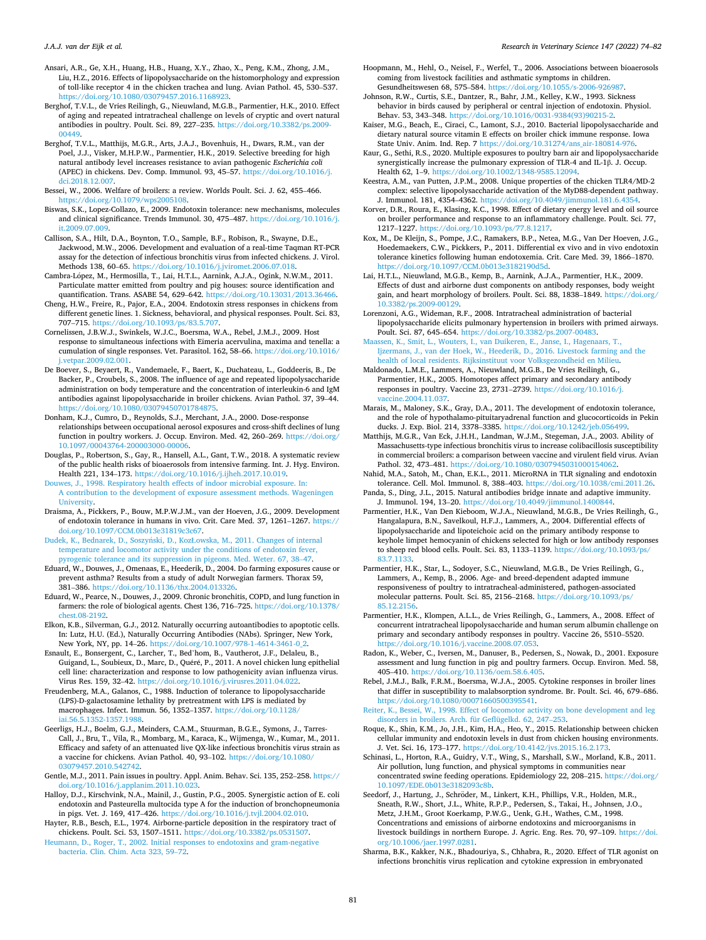<span id="page-7-0"></span>Ansari, A.R., Ge, X.H., Huang, H.B., Huang, X.Y., Zhao, X., Peng, K.M., Zhong, J.M., Liu, H.Z., 2016. Effects of lipopolysaccharide on the histomorphology and expression of toll-like receptor 4 in the chicken trachea and lung. Avian Pathol. 45, 530–537. //doi.org/10.1080/03079457.2016.1168923

- Berghof, T.V.L., de Vries Reilingh, G., Nieuwland, M.G.B., Parmentier, H.K., 2010. Effect of aging and repeated intratracheal challenge on levels of cryptic and overt natural antibodies in poultry. Poult. Sci. 89, 227–235. [https://doi.org/10.3382/ps.2009-](https://doi.org/10.3382/ps.2009-00449)  [00449.](https://doi.org/10.3382/ps.2009-00449)
- Berghof, T.V.L., Matthijs, M.G.R., Arts, J.A.J., Bovenhuis, H., Dwars, R.M., van der Poel, J.J., Visker, M.H.P.W., Parmentier, H.K., 2019. Selective breeding for high natural antibody level increases resistance to avian pathogenic *Escherichia coli*  (APEC) in chickens. Dev. Comp. Immunol. 93, 45–57. [https://doi.org/10.1016/j.](https://doi.org/10.1016/j.dci.2018.12.007)  [dci.2018.12.007.](https://doi.org/10.1016/j.dci.2018.12.007)
- Bessei, W., 2006. Welfare of broilers: a review. Worlds Poult. Sci. J. 62, 455–466. [https://doi.org/10.1079/wps2005108.](https://doi.org/10.1079/wps2005108)

Biswas, S.K., Lopez-Collazo, E., 2009. Endotoxin tolerance: new mechanisms, molecules and clinical significance. Trends Immunol. 30, 475–487. [https://doi.org/10.1016/j.](https://doi.org/10.1016/j.it.2009.07.009)  [it.2009.07.009](https://doi.org/10.1016/j.it.2009.07.009).

Callison, S.A., Hilt, D.A., Boynton, T.O., Sample, B.F., Robison, R., Swayne, D.E., Jackwood, M.W., 2006. Development and evaluation of a real-time Taqman RT-PCR assay for the detection of infectious bronchitis virus from infected chickens. J. Virol. Methods 138, 60–65. [https://doi.org/10.1016/j.jviromet.2006.07.018.](https://doi.org/10.1016/j.jviromet.2006.07.018)

- Cambra-López, M., Hermosilla, T., Lai, H.T.L., Aarnink, A.J.A., Ogink, N.W.M., 2011. Particulate matter emitted from poultry and pig houses: source identification and quantification. Trans. ASABE 54, 629–642. <https://doi.org/10.13031/2013.36466>.
- Cheng, H.W., Freire, R., Pajor, E.A., 2004. Endotoxin stress responses in chickens from different genetic lines. 1. Sickness, behavioral, and physical responses. Poult. Sci. 83, 707–715. <https://doi.org/10.1093/ps/83.5.707>.
- Cornelissen, J.B.W.J., Swinkels, W.J.C., Boersma, W.A., Rebel, J.M.J., 2009. Host response to simultaneous infections with Eimeria acervulina, maxima and tenella: a cumulation of single responses. Vet. Parasitol. 162, 58–66. [https://doi.org/10.1016/](https://doi.org/10.1016/j.vetpar.2009.02.001)  [j.vetpar.2009.02.001.](https://doi.org/10.1016/j.vetpar.2009.02.001)
- De Boever, S., Beyaert, R., Vandemaele, F., Baert, K., Duchateau, L., Goddeeris, B., De Backer, P., Croubels, S., 2008. The influence of age and repeated lipopolysaccharide administration on body temperature and the concentration of interleukin-6 and IgM antibodies against lipopolysaccharide in broiler chickens. Avian Pathol. 37, 39–44. <https://doi.org/10.1080/03079450701784875>.
- Donham, K.J., Cumro, D., Reynolds, S.J., Merchant, J.A., 2000. Dose-response relationships between occupational aerosol exposures and cross-shift declines of lung function in poultry workers. J. Occup. Environ. Med. 42, 260–269. [https://doi.org/](https://doi.org/10.1097/00043764-200003000-00006)  [10.1097/00043764-200003000-00006](https://doi.org/10.1097/00043764-200003000-00006).
- Douglas, P., Robertson, S., Gay, R., Hansell, A.L., Gant, T.W., 2018. A systematic review of the public health risks of bioaerosols from intensive farming. Int. J. Hyg. Environ. Health 221, 134–173. <https://doi.org/10.1016/j.ijheh.2017.10.019>.
- [Douwes, J., 1998. Respiratory health effects of indoor microbial exposure. In:](http://refhub.elsevier.com/S0034-5288(22)00105-9/rf0070) [A contribution to the development of exposure assessment methods. Wageningen](http://refhub.elsevier.com/S0034-5288(22)00105-9/rf0070) [University.](http://refhub.elsevier.com/S0034-5288(22)00105-9/rf0070)
- Draisma, A., Pickkers, P., Bouw, M.P.W.J.M., van der Hoeven, J.G., 2009. Development of endotoxin tolerance in humans in vivo. Crit. Care Med. 37, 1261–1267. [https://](https://doi.org/10.1097/CCM.0b013e31819c3c67) [doi.org/10.1097/CCM.0b013e31819c3c67](https://doi.org/10.1097/CCM.0b013e31819c3c67).
- Dudek, K., Bednarek, D., Soszyński, D., KozŁ[owska, M., 2011. Changes of internal](http://refhub.elsevier.com/S0034-5288(22)00105-9/rf0080) [temperature and locomotor activity under the conditions of endotoxin fever,](http://refhub.elsevier.com/S0034-5288(22)00105-9/rf0080) [pyrogenic tolerance and its suppression in pigeons. Med. Weter. 67, 38](http://refhub.elsevier.com/S0034-5288(22)00105-9/rf0080)–47.
- Eduard, W., Douwes, J., Omenaas, E., Heederik, D., 2004. Do farming exposures cause or prevent asthma? Results from a study of adult Norwegian farmers. Thorax 59, 381–386. [https://doi.org/10.1136/thx.2004.013326.](https://doi.org/10.1136/thx.2004.013326)
- Eduard, W., Pearce, N., Douwes, J., 2009. Chronic bronchitis, COPD, and lung function in farmers: the role of biological agents. Chest 136, 716–725. [https://doi.org/10.1378/](https://doi.org/10.1378/chest.08-2192)  [chest.08-2192](https://doi.org/10.1378/chest.08-2192).

Elkon, K.B., Silverman, G.J., 2012. Naturally occurring autoantibodies to apoptotic cells. In: Lutz, H.U. (Ed.), Naturally Occurring Antibodies (NAbs). Springer, New York, New York, NY, pp. 14–26. [https://doi.org/10.1007/978-1-4614-3461-0\\_2.](https://doi.org/10.1007/978-1-4614-3461-0_2)

Esnault, E., Bonsergent, C., Larcher, T., Bed'hom, B., Vautherot, J.F., Delaleu, B., Guigand, L., Soubieux, D., Marc, D., Quéré, P., 2011. A novel chicken lung epithelial cell line: characterization and response to low pathogenicity avian influenza virus. Virus Res. 159, 32–42. [https://doi.org/10.1016/j.virusres.2011.04.022.](https://doi.org/10.1016/j.virusres.2011.04.022)

Freudenberg, M.A., Galanos, C., 1988. Induction of tolerance to lipopolysaccharide (LPS)-D-galactosamine lethality by pretreatment with LPS is mediated by macrophages. Infect. Immun. 56, 1352–1357. [https://doi.org/10.1128/](https://doi.org/10.1128/iai.56.5.1352-1357.1988) [iai.56.5.1352-1357.1988.](https://doi.org/10.1128/iai.56.5.1352-1357.1988)

Geerligs, H.J., Boelm, G.J., Meinders, C.A.M., Stuurman, B.G.E., Symons, J., Tarres-Call, J., Bru, T., Vila, R., Mombarg, M., Karaca, K., Wijmenga, W., Kumar, M., 2011. Efficacy and safety of an attenuated live QX-like infectious bronchitis virus strain as a vaccine for chickens. Avian Pathol. 40, 93–102. [https://doi.org/10.1080/](https://doi.org/10.1080/03079457.2010.542742) [03079457.2010.542742.](https://doi.org/10.1080/03079457.2010.542742)

Gentle, M.J., 2011. Pain issues in poultry. Appl. Anim. Behav. Sci. 135, 252–258. [https://](https://doi.org/10.1016/j.applanim.2011.10.023)  [doi.org/10.1016/j.applanim.2011.10.023.](https://doi.org/10.1016/j.applanim.2011.10.023)

- Halloy, D.J., Kirschvink, N.A., Mainil, J., Gustin, P.G., 2005. Synergistic action of E. coli endotoxin and Pasteurella multocida type A for the induction of bronchopneumonia in pigs. Vet. J. 169, 417–426. [https://doi.org/10.1016/j.tvjl.2004.02.010.](https://doi.org/10.1016/j.tvjl.2004.02.010)
- Hayter, R.B., Besch, E.L., 1974. Airborne-particle deposition in the respiratory tract of chickens. Poult. Sci. 53, 1507–1511. <https://doi.org/10.3382/ps.0531507>. [Heumann, D., Roger, T., 2002. Initial responses to endotoxins and gram-negative](http://refhub.elsevier.com/S0034-5288(22)00105-9/rf0130)
- [bacteria. Clin. Chim. Acta 323, 59](http://refhub.elsevier.com/S0034-5288(22)00105-9/rf0130)–72.
- Hoopmann, M., Hehl, O., Neisel, F., Werfel, T., 2006. Associations between bioaerosols coming from livestock facilities and asthmatic symptoms in children. Gesundheitswesen 68, 575–584. <https://doi.org/10.1055/s-2006-926987>.
- Johnson, R.W., Curtis, S.E., Dantzer, R., Bahr, J.M., Kelley, K.W., 1993. Sickness behavior in birds caused by peripheral or central injection of endotoxin. Physiol. Behav. 53, 343–348. [https://doi.org/10.1016/0031-9384\(93\)90215-2.](https://doi.org/10.1016/0031-9384(93)90215-2)
- Kaiser, M.G., Beach, E., Ciraci, C., Lamont, S.J., 2010. Bacterial lipopolysaccharide and dietary natural source vitamin E effects on broiler chick immune response. Iowa State Univ. Anim. Ind. Rep. 7 [https://doi.org/10.31274/ans\\_air-180814-976.](https://doi.org/10.31274/ans_air-180814-976)

Kaur, G., Sethi, R.S., 2020. Multiple exposures to poultry barn air and lipopolysaccharide synergistically increase the pulmonary expression of TLR-4 and IL-1β. J. Occup. Health 62, 1–9. <https://doi.org/10.1002/1348-9585.12094>.

- Keestra, A.M., van Putten, J.P.M., 2008. Unique properties of the chicken TLR4/MD-2 complex: selective lipopolysaccharide activation of the MyD88-dependent pathway. J. Immunol. 181, 4354–4362. [https://doi.org/10.4049/jimmunol.181.6.4354.](https://doi.org/10.4049/jimmunol.181.6.4354)
- Korver, D.R., Roura, E., Klasing, K.C., 1998. Effect of dietary energy level and oil source on broiler performance and response to an inflammatory challenge. Poult. Sci. 77, 1217–1227.<https://doi.org/10.1093/ps/77.8.1217>.
- Kox, M., De Kleijn, S., Pompe, J.C., Ramakers, B.P., Netea, M.G., Van Der Hoeven, J.G., Hoedemaekers, C.W., Pickkers, P., 2011. Differential ex vivo and in vivo endotoxin tolerance kinetics following human endotoxemia. Crit. Care Med. 39, 1866–1870. [https://doi.org/10.1097/CCM.0b013e3182190d5d.](https://doi.org/10.1097/CCM.0b013e3182190d5d)
- Lai, H.T.L., Nieuwland, M.G.B., Kemp, B., Aarnink, A.J.A., Parmentier, H.K., 2009. Effects of dust and airborne dust components on antibody responses, body weight gain, and heart morphology of broilers. Poult. Sci. 88, 1838–1849. [https://doi.org/](https://doi.org/10.3382/ps.2009-00129)  [10.3382/ps.2009-00129](https://doi.org/10.3382/ps.2009-00129).
- Lorenzoni, A.G., Wideman, R.F., 2008. Intratracheal administration of bacterial lipopolysaccharide elicits pulmonary hypertension in broilers with primed airways. Poult. Sci. 87, 645–654. <https://doi.org/10.3382/ps.2007-00483>.
- [Maassen, K., Smit, L., Wouters, I., van Duikeren, E., Janse, I., Hagenaars, T.,](http://refhub.elsevier.com/S0034-5288(22)00105-9/rf0180)  [Ijzermans, J., van der Hoek, W., Heederik, D., 2016. Livestock farming and the](http://refhub.elsevier.com/S0034-5288(22)00105-9/rf0180)  [health of local residents. Rijksinstituut voor Volksgezondheid en Milieu](http://refhub.elsevier.com/S0034-5288(22)00105-9/rf0180).
- Maldonado, L.M.E., Lammers, A., Nieuwland, M.G.B., De Vries Reilingh, G., Parmentier, H.K., 2005. Homotopes affect primary and secondary antibody responses in poultry. Vaccine 23, 2731–2739. [https://doi.org/10.1016/j.](https://doi.org/10.1016/j.vaccine.2004.11.037) [vaccine.2004.11.037](https://doi.org/10.1016/j.vaccine.2004.11.037).
- Marais, M., Maloney, S.K., Gray, D.A., 2011. The development of endotoxin tolerance, and the role of hypothalamo-pituitaryadrenal function and glucocorticoids in Pekin ducks. J. Exp. Biol. 214, 3378-3385. https://doi.org/10.1242/jeb.0564
- Matthijs, M.G.R., Van Eck, J.H.H., Landman, W.J.M., Stegeman, J.A., 2003. Ability of Massachusetts-type infectious bronchitis virus to increase colibacillosis susceptibility in commercial broilers: a comparison between vaccine and virulent field virus. Avian Pathol. 32, 473–481.<https://doi.org/10.1080/0307945031000154062>.
- Nahid, M.A., Satoh, M., Chan, E.K.L., 2011. MicroRNA in TLR signaling and endotoxin tolerance. Cell. Mol. Immunol. 8, 388–403. <https://doi.org/10.1038/cmi.2011.26>.
- Panda, S., Ding, J.L., 2015. Natural antibodies bridge innate and adaptive immunity. J. Immunol. 194, 13–20. <https://doi.org/10.4049/jimmunol.1400844>.
- Parmentier, H.K., Van Den Kieboom, W.J.A., Nieuwland, M.G.B., De Vries Reilingh, G., Hangalapura, B.N., Savelkoul, H.F.J., Lammers, A., 2004. Differential effects of lipopolysaccharide and lipoteichoic acid on the primary antibody response to keyhole limpet hemocyanin of chickens selected for high or low antibody responses to sheep red blood cells. Poult. Sci. 83, 1133–1139. [https://doi.org/10.1093/ps/](https://doi.org/10.1093/ps/83.7.1133) 83.7.113
- Parmentier, H.K., Star, L., Sodoyer, S.C., Nieuwland, M.G.B., De Vries Reilingh, G., Lammers, A., Kemp, B., 2006. Age- and breed-dependent adapted immune responsiveness of poultry to intratracheal-administered, pathogen-associated molecular patterns. Poult. Sci. 85, 2156–2168. [https://doi.org/10.1093/ps/](https://doi.org/10.1093/ps/85.12.2156) [85.12.2156.](https://doi.org/10.1093/ps/85.12.2156)
- Parmentier, H.K., Klompen, A.L.L., de Vries Reilingh, G., Lammers, A., 2008. Effect of concurrent intratracheal lipopolysaccharide and human serum albumin challenge on primary and secondary antibody responses in poultry. Vaccine 26, 5510–5520. [https://doi.org/10.1016/j.vaccine.2008.07.053.](https://doi.org/10.1016/j.vaccine.2008.07.053)
- Radon, K., Weber, C., Iversen, M., Danuser, B., Pedersen, S., Nowak, D., 2001. Exposure assessment and lung function in pig and poultry farmers. Occup. Environ. Med. 58, 405–410. [https://doi.org/10.1136/oem.58.6.405.](https://doi.org/10.1136/oem.58.6.405)
- Rebel, J.M.J., Balk, F.R.M., Boersma, W.J.A., 2005. Cytokine responses in broiler lines that differ in susceptibility to malabsorption syndrome. Br. Poult. Sci. 46, 679–686. <https://doi.org/10.1080/00071660500395541>.
- [Reiter, K., Bessei, W., 1998. Effect of locomotor activity on bone development and leg](http://refhub.elsevier.com/S0034-5288(22)00105-9/rf0235)  [disorders in broilers. Arch. für Geflügelkd. 62, 247](http://refhub.elsevier.com/S0034-5288(22)00105-9/rf0235)–253.
- Roque, K., Shin, K.M., Jo, J.H., Kim, H.A., Heo, Y., 2015. Relationship between chicken cellular immunity and endotoxin levels in dust from chicken housing environments. J. Vet. Sci. 16, 173–177. <https://doi.org/10.4142/jvs.2015.16.2.173>.
- Schinasi, L., Horton, R.A., Guidry, V.T., Wing, S., Marshall, S.W., Morland, K.B., 2011. Air pollution, lung function, and physical symptoms in communities near concentrated swine feeding operations. Epidemiology 22, 208–215. [https://doi.org/](https://doi.org/10.1097/EDE.0b013e3182093c8b)  [10.1097/EDE.0b013e3182093c8b.](https://doi.org/10.1097/EDE.0b013e3182093c8b)
- Seedorf, J., Hartung, J., Schröder, M., Linkert, K.H., Phillips, V.R., Holden, M.R., Sneath, R.W., Short, J.L., White, R.P.P., Pedersen, S., Takai, H., Johnsen, J.O., Metz, J.H.M., Groot Koerkamp, P.W.G., Uenk, G.H., Wathes, C.M., 1998. Concentrations and emissions of airborne endotoxins and microorganisms in livestock buildings in northern Europe. J. Agric. Eng. Res. 70, 97–109. [https://doi.](https://doi.org/10.1006/jaer.1997.0281) [org/10.1006/jaer.1997.0281](https://doi.org/10.1006/jaer.1997.0281).
- Sharma, B.K., Kakker, N.K., Bhadouriya, S., Chhabra, R., 2020. Effect of TLR agonist on infections bronchitis virus replication and cytokine expression in embryonated